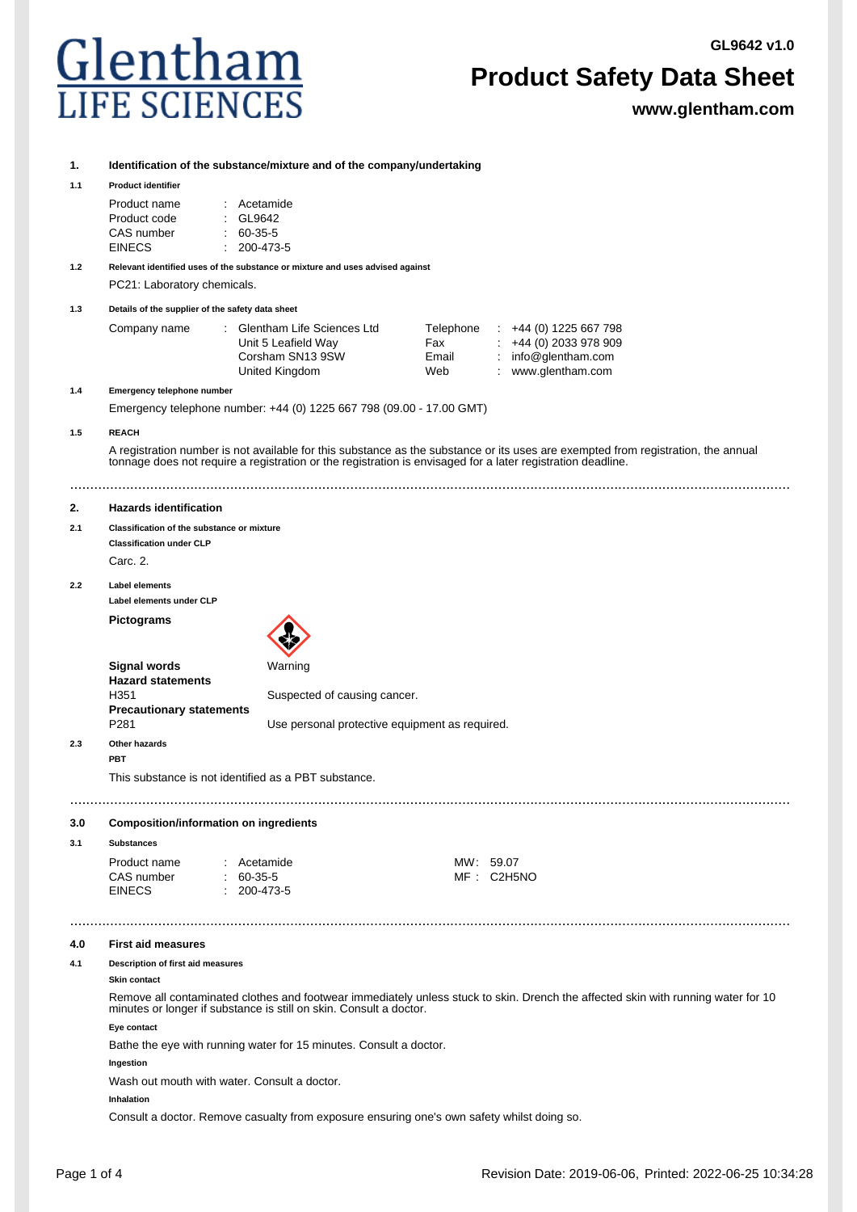

# **Product Safety Data Sheet**

**www.glentham.com**

**1. Identification of the substance/mixture and of the company/undertaking**

#### **1.1 Product identifier**

| Product name | : Acetamide         |
|--------------|---------------------|
| Product code | $\therefore$ GL9642 |
| CAS number   | $60-35-5$           |
| EINECS       | $: 200 - 473 - 5$   |

**1.2 Relevant identified uses of the substance or mixture and uses advised against** PC21: Laboratory chemicals.

**1.3 Details of the supplier of the safety data sheet**

| Company name | Glentham Life Sciences Ltd | Telephone | $\div$ +44 (0) 1225 667 798 |
|--------------|----------------------------|-----------|-----------------------------|
|              | Unit 5 Leafield Way        | Fax       | $\div$ +44 (0) 2033 978 909 |
|              | Corsham SN13 9SW           | Email     | : $info@$ glentham.com      |
|              | United Kingdom             | Web       | www.glentham.com            |

**1.4 Emergency telephone number**

Emergency telephone number: +44 (0) 1225 667 798 (09.00 - 17.00 GMT)

## **1.5 REACH**

A registration number is not available for this substance as the substance or its uses are exempted from registration, the annual tonnage does not require a registration or the registration is envisaged for a later registration deadline.

....................................................................................................................................................................................

### **2. Hazards identification**

## **2.1 Classification of the substance or mixture**

**Classification under CLP**

Carc. 2.

### **2.2 Label elements Label elements under CLP**

**Pictograms**



|     | Signal words<br><b>Hazard statements</b>            | Warning                                        |
|-----|-----------------------------------------------------|------------------------------------------------|
|     | H351                                                | Suspected of causing cancer.                   |
|     | <b>Precautionary statements</b><br>P <sub>281</sub> | Use personal protective equipment as required. |
| 2.3 | Other hazards<br>РВТ                                |                                                |

This substance is not identified as a PBT substance.

....................................................................................................................................................................................

### **3.0 Composition/information on ingredients**

## **3.1 Substances**

| Product name<br>: Acetamide<br>CAS number<br>$60-35-5$<br><b>EINECS</b><br>$: 200 - 473 - 5$ | MW: 59.07<br>MF: C2H5NO |
|----------------------------------------------------------------------------------------------|-------------------------|
|----------------------------------------------------------------------------------------------|-------------------------|

## **4.0 First aid measures**

**4.1 Description of first aid measures**

## **Skin contact**

Remove all contaminated clothes and footwear immediately unless stuck to skin. Drench the affected skin with running water for 10 minutes or longer if substance is still on skin. Consult a doctor.

....................................................................................................................................................................................

### **Eye contact**

Bathe the eye with running water for 15 minutes. Consult a doctor.

**Ingestion**

Wash out mouth with water. Consult a doctor.

## **Inhalation**

Consult a doctor. Remove casualty from exposure ensuring one's own safety whilst doing so.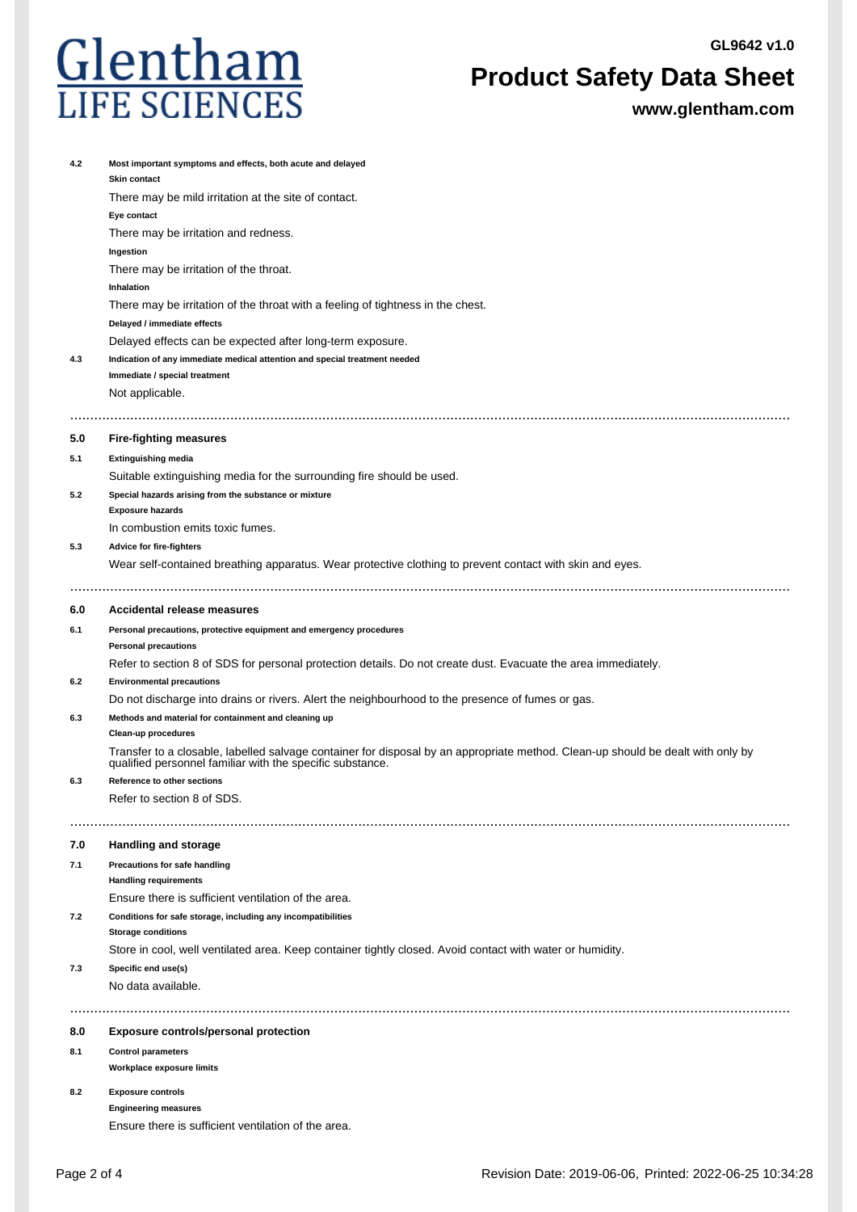

# **Product Safety Data Sheet**

**www.glentham.com**

| 4.2 | Most important symptoms and effects, both acute and delayed<br>Skin contact                                                                                                                  |
|-----|----------------------------------------------------------------------------------------------------------------------------------------------------------------------------------------------|
|     | There may be mild irritation at the site of contact.                                                                                                                                         |
|     | Eye contact                                                                                                                                                                                  |
|     | There may be irritation and redness.                                                                                                                                                         |
|     | Ingestion                                                                                                                                                                                    |
|     | There may be irritation of the throat.                                                                                                                                                       |
|     | Inhalation                                                                                                                                                                                   |
|     | There may be irritation of the throat with a feeling of tightness in the chest.                                                                                                              |
|     | Delayed / immediate effects                                                                                                                                                                  |
|     | Delayed effects can be expected after long-term exposure.                                                                                                                                    |
| 4.3 | Indication of any immediate medical attention and special treatment needed<br>Immediate / special treatment                                                                                  |
|     | Not applicable.                                                                                                                                                                              |
|     |                                                                                                                                                                                              |
| 5.0 | <b>Fire-fighting measures</b>                                                                                                                                                                |
| 5.1 | <b>Extinguishing media</b>                                                                                                                                                                   |
|     | Suitable extinguishing media for the surrounding fire should be used.                                                                                                                        |
| 5.2 | Special hazards arising from the substance or mixture                                                                                                                                        |
|     | <b>Exposure hazards</b>                                                                                                                                                                      |
|     | In combustion emits toxic fumes.                                                                                                                                                             |
| 5.3 | Advice for fire-fighters                                                                                                                                                                     |
|     | Wear self-contained breathing apparatus. Wear protective clothing to prevent contact with skin and eyes.                                                                                     |
|     |                                                                                                                                                                                              |
| 6.0 | Accidental release measures                                                                                                                                                                  |
| 6.1 | Personal precautions, protective equipment and emergency procedures                                                                                                                          |
|     | <b>Personal precautions</b>                                                                                                                                                                  |
|     | Refer to section 8 of SDS for personal protection details. Do not create dust. Evacuate the area immediately.                                                                                |
| 6.2 | <b>Environmental precautions</b>                                                                                                                                                             |
|     | Do not discharge into drains or rivers. Alert the neighbourhood to the presence of fumes or gas.                                                                                             |
| 6.3 | Methods and material for containment and cleaning up<br>Clean-up procedures                                                                                                                  |
|     | Transfer to a closable, labelled salvage container for disposal by an appropriate method. Clean-up should be dealt with only by<br>qualified personnel familiar with the specific substance. |
| 6.3 | Reference to other sections                                                                                                                                                                  |
|     | Refer to section 8 of SDS.                                                                                                                                                                   |
|     |                                                                                                                                                                                              |
| 7.0 | Handling and storage                                                                                                                                                                         |
| 7.1 | Precautions for safe handling                                                                                                                                                                |
|     | <b>Handling requirements</b>                                                                                                                                                                 |
|     | Ensure there is sufficient ventilation of the area.                                                                                                                                          |
| 7.2 | Conditions for safe storage, including any incompatibilities                                                                                                                                 |
|     | <b>Storage conditions</b>                                                                                                                                                                    |
| 7.3 | Store in cool, well ventilated area. Keep container tightly closed. Avoid contact with water or humidity.<br>Specific end use(s)                                                             |
|     | No data available.                                                                                                                                                                           |
|     |                                                                                                                                                                                              |
|     |                                                                                                                                                                                              |
| 8.0 | Exposure controls/personal protection                                                                                                                                                        |
| 8.1 | <b>Control parameters</b>                                                                                                                                                                    |
|     | Workplace exposure limits                                                                                                                                                                    |
| 8.2 | <b>Exposure controls</b>                                                                                                                                                                     |
|     | <b>Engineering measures</b>                                                                                                                                                                  |
|     | Ensure there is sufficient ventilation of the area.                                                                                                                                          |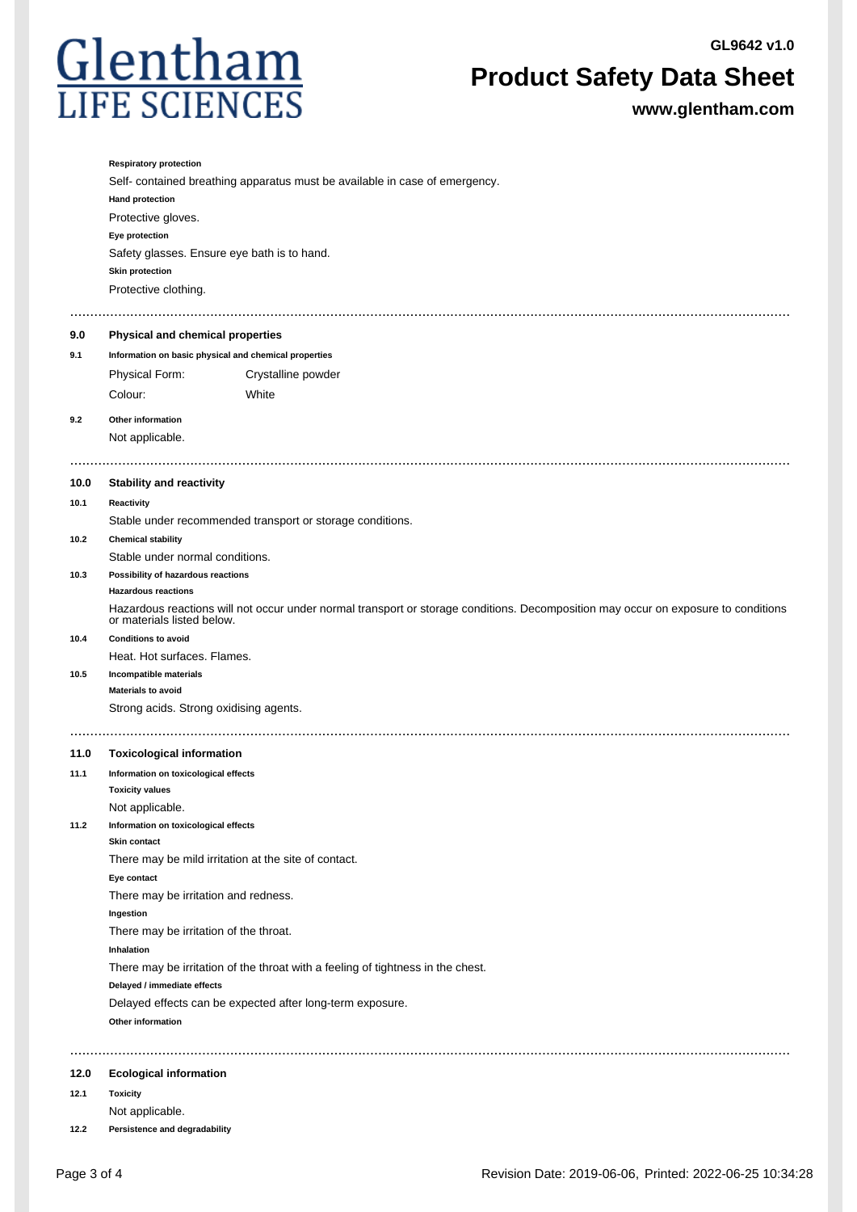

# **Product Safety Data Sheet**

**www.glentham.com**

|      | <b>Respiratory protection</b>                                                                                                                                    |  |
|------|------------------------------------------------------------------------------------------------------------------------------------------------------------------|--|
|      | Self- contained breathing apparatus must be available in case of emergency.                                                                                      |  |
|      | <b>Hand protection</b>                                                                                                                                           |  |
|      | Protective gloves.                                                                                                                                               |  |
|      | Eye protection                                                                                                                                                   |  |
|      | Safety glasses. Ensure eye bath is to hand.                                                                                                                      |  |
|      | <b>Skin protection</b>                                                                                                                                           |  |
|      | Protective clothing.                                                                                                                                             |  |
|      |                                                                                                                                                                  |  |
| 9.0  | Physical and chemical properties                                                                                                                                 |  |
| 9.1  | Information on basic physical and chemical properties                                                                                                            |  |
|      | Physical Form:<br>Crystalline powder                                                                                                                             |  |
|      | Colour:<br>White                                                                                                                                                 |  |
|      |                                                                                                                                                                  |  |
| 9.2  | Other information                                                                                                                                                |  |
|      | Not applicable.                                                                                                                                                  |  |
|      |                                                                                                                                                                  |  |
| 10.0 | <b>Stability and reactivity</b>                                                                                                                                  |  |
| 10.1 | Reactivity                                                                                                                                                       |  |
|      | Stable under recommended transport or storage conditions.                                                                                                        |  |
| 10.2 | <b>Chemical stability</b>                                                                                                                                        |  |
|      | Stable under normal conditions.                                                                                                                                  |  |
| 10.3 | Possibility of hazardous reactions<br><b>Hazardous reactions</b>                                                                                                 |  |
|      | Hazardous reactions will not occur under normal transport or storage conditions. Decomposition may occur on exposure to conditions<br>or materials listed below. |  |
| 10.4 | <b>Conditions to avoid</b>                                                                                                                                       |  |
|      | Heat. Hot surfaces. Flames.                                                                                                                                      |  |
| 10.5 | Incompatible materials                                                                                                                                           |  |
|      | <b>Materials to avoid</b>                                                                                                                                        |  |
|      | Strong acids. Strong oxidising agents.                                                                                                                           |  |
|      |                                                                                                                                                                  |  |
| 11.0 | <b>Toxicological information</b>                                                                                                                                 |  |
| 11.1 | Information on toxicological effects                                                                                                                             |  |
|      | <b>Toxicity values</b>                                                                                                                                           |  |
|      | Not applicable.                                                                                                                                                  |  |
| 11.2 | Information on toxicological effects<br>Skin contact                                                                                                             |  |
|      | There may be mild irritation at the site of contact.                                                                                                             |  |
|      | Eye contact                                                                                                                                                      |  |
|      | There may be irritation and redness.                                                                                                                             |  |
|      | Ingestion                                                                                                                                                        |  |
|      | There may be irritation of the throat.                                                                                                                           |  |
|      | Inhalation                                                                                                                                                       |  |
|      | There may be irritation of the throat with a feeling of tightness in the chest.                                                                                  |  |
|      | Delayed / immediate effects                                                                                                                                      |  |
|      | Delayed effects can be expected after long-term exposure.                                                                                                        |  |
|      | Other information                                                                                                                                                |  |
|      |                                                                                                                                                                  |  |
|      |                                                                                                                                                                  |  |
| 12.0 | <b>Ecological information</b>                                                                                                                                    |  |
| 12.1 | <b>Toxicity</b>                                                                                                                                                  |  |
|      | Not applicable.                                                                                                                                                  |  |

**12.2 Persistence and degradability**